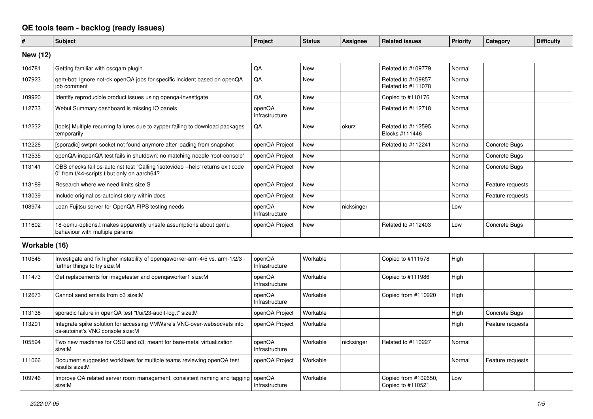## **QE tools team - backlog (ready issues)**

| #               | <b>Subject</b>                                                                                                                 | <b>Project</b>           | <b>Status</b> | Assignee   | <b>Related issues</b>                     | <b>Priority</b> | Category         | <b>Difficulty</b> |
|-----------------|--------------------------------------------------------------------------------------------------------------------------------|--------------------------|---------------|------------|-------------------------------------------|-----------------|------------------|-------------------|
| <b>New (12)</b> |                                                                                                                                |                          |               |            |                                           |                 |                  |                   |
| 104781          | Getting familiar with oscgam plugin                                                                                            | QA                       | <b>New</b>    |            | Related to #109779                        | Normal          |                  |                   |
| 107923          | gem-bot: Ignore not-ok openQA jobs for specific incident based on openQA<br>job comment                                        | $\mathsf{QA}$            | New           |            | Related to #109857,<br>Related to #111078 | Normal          |                  |                   |
| 109920          | Identify reproducible product issues using openqa-investigate                                                                  | QA                       | <b>New</b>    |            | Copied to #110176                         | Normal          |                  |                   |
| 112733          | Webui Summary dashboard is missing IO panels                                                                                   | openQA<br>Infrastructure | <b>New</b>    |            | Related to #112718                        | Normal          |                  |                   |
| 112232          | [tools] Multiple recurring failures due to zypper failing to download packages<br>temporarily                                  | QA                       | New           | okurz      | Related to #112595,<br>Blocks #111446     | Normal          |                  |                   |
| 112226          | [sporadic] swtpm socket not found anymore after loading from snapshot                                                          | openQA Project           | <b>New</b>    |            | Related to #112241                        | Normal          | Concrete Bugs    |                   |
| 112535          | openQA-inopenQA test fails in shutdown: no matching needle 'root-console'                                                      | openQA Project           | New           |            |                                           | Normal          | Concrete Bugs    |                   |
| 113141          | OBS checks fail os-autoinst test "Calling 'isotovideo --help' returns exit code<br>0" from t/44-scripts.t but only on aarch64? | openQA Project           | New           |            |                                           | Normal          | Concrete Bugs    |                   |
| 113189          | Research where we need limits size:S                                                                                           | openQA Project           | <b>New</b>    |            |                                           | Normal          | Feature requests |                   |
| 113039          | Include original os-autoinst story within docs                                                                                 | openQA Project           | New           |            |                                           | Normal          | Feature requests |                   |
| 108974          | Loan Fujitsu server for OpenQA FIPS testing needs                                                                              | openQA<br>Infrastructure | New           | nicksinger |                                           | Low             |                  |                   |
| 111602          | 18-qemu-options.t makes apparently unsafe assumptions about qemu<br>behaviour with multiple params                             | openQA Project           | New           |            | Related to #112403                        | Low             | Concrete Bugs    |                   |
| Workable (16)   |                                                                                                                                |                          |               |            |                                           |                 |                  |                   |
| 110545          | Investigate and fix higher instability of opengaworker-arm-4/5 vs. arm-1/2/3 -<br>further things to try size:M                 | openQA<br>Infrastructure | Workable      |            | Copied to #111578                         | High            |                  |                   |
| 111473          | Get replacements for imagetester and openqaworker1 size:M                                                                      | openQA<br>Infrastructure | Workable      |            | Copied to #111986                         | High            |                  |                   |
| 112673          | Cannot send emails from o3 size:M                                                                                              | openQA<br>Infrastructure | Workable      |            | Copied from #110920                       | High            |                  |                   |
| 113138          | sporadic failure in openQA test "t/ui/23-audit-log.t" size:M                                                                   | openQA Project           | Workable      |            |                                           | High            | Concrete Bugs    |                   |
| 113201          | Integrate spike solution for accessing VMWare's VNC-over-websockets into<br>os-autoinst's VNC console size:M                   | openQA Project           | Workable      |            |                                           | High            | Feature requests |                   |
| 105594          | Two new machines for OSD and o3, meant for bare-metal virtualization<br>size:M                                                 | openQA<br>Infrastructure | Workable      | nicksinger | Related to #110227                        | Normal          |                  |                   |
| 111066          | Document suggested workflows for multiple teams reviewing openQA test<br>results size:M                                        | openQA Project           | Workable      |            |                                           | Normal          | Feature requests |                   |
| 109746          | Improve QA related server room management, consistent naming and tagging<br>size:M                                             | openQA<br>Infrastructure | Workable      |            | Copied from #102650,<br>Copied to #110521 | Low             |                  |                   |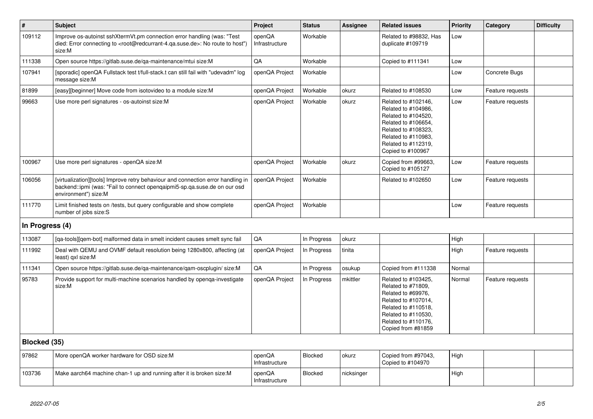| #               | <b>Subject</b>                                                                                                                                                                                    | Project                  | <b>Status</b>  | Assignee   | <b>Related issues</b>                                                                                                                                                              | Priority | Category         | <b>Difficulty</b> |
|-----------------|---------------------------------------------------------------------------------------------------------------------------------------------------------------------------------------------------|--------------------------|----------------|------------|------------------------------------------------------------------------------------------------------------------------------------------------------------------------------------|----------|------------------|-------------------|
| 109112          | Improve os-autoinst sshXtermVt.pm connection error handling (was: "Test<br>died: Error connecting to <root@redcurrant-4.qa.suse.de>: No route to host")<br/>size:M</root@redcurrant-4.qa.suse.de> | openQA<br>Infrastructure | Workable       |            | Related to #98832, Has<br>duplicate #109719                                                                                                                                        | Low      |                  |                   |
| 111338          | Open source https://gitlab.suse.de/qa-maintenance/mtui size:M                                                                                                                                     | QA                       | Workable       |            | Copied to #111341                                                                                                                                                                  | Low      |                  |                   |
| 107941          | [sporadic] openQA Fullstack test t/full-stack.t can still fail with "udevadm" log<br>message size:M                                                                                               | openQA Project           | Workable       |            |                                                                                                                                                                                    | Low      | Concrete Bugs    |                   |
| 81899           | [easy][beginner] Move code from isotovideo to a module size:M                                                                                                                                     | openQA Project           | Workable       | okurz      | Related to #108530                                                                                                                                                                 | Low      | Feature requests |                   |
| 99663           | Use more perl signatures - os-autoinst size:M                                                                                                                                                     | openQA Project           | Workable       | okurz      | Related to #102146,<br>Related to #104986,<br>Related to #104520,<br>Related to #106654,<br>Related to #108323,<br>Related to #110983,<br>Related to #112319,<br>Copied to #100967 | Low      | Feature requests |                   |
| 100967          | Use more perl signatures - openQA size:M                                                                                                                                                          | openQA Project           | Workable       | okurz      | Copied from #99663.<br>Copied to #105127                                                                                                                                           | Low      | Feature requests |                   |
| 106056          | [virtualization][tools] Improve retry behaviour and connection error handling in<br>backend::ipmi (was: "Fail to connect opengaipmi5-sp.ga.suse.de on our osd<br>environment") size:M             | openQA Project           | Workable       |            | Related to #102650                                                                                                                                                                 | Low      | Feature requests |                   |
| 111770          | Limit finished tests on /tests, but query configurable and show complete<br>number of jobs size:S                                                                                                 | openQA Project           | Workable       |            |                                                                                                                                                                                    | Low      | Feature requests |                   |
| In Progress (4) |                                                                                                                                                                                                   |                          |                |            |                                                                                                                                                                                    |          |                  |                   |
| 113087          | [qa-tools][qem-bot] malformed data in smelt incident causes smelt sync fail                                                                                                                       | QA                       | In Progress    | okurz      |                                                                                                                                                                                    | High     |                  |                   |
| 111992          | Deal with QEMU and OVMF default resolution being 1280x800, affecting (at<br>least) gxl size:M                                                                                                     | openQA Project           | In Progress    | tinita     |                                                                                                                                                                                    | High     | Feature requests |                   |
| 111341          | Open source https://gitlab.suse.de/qa-maintenance/qam-oscplugin/ size:M                                                                                                                           | QA                       | In Progress    | osukup     | Copied from #111338                                                                                                                                                                | Normal   |                  |                   |
| 95783           | Provide support for multi-machine scenarios handled by openga-investigate<br>size:M                                                                                                               | openQA Project           | In Progress    | mkittler   | Related to #103425,<br>Related to #71809.<br>Related to #69976.<br>Related to #107014,<br>Related to #110518,<br>Related to #110530,<br>Related to #110176,<br>Copied from #81859  | Normal   | Feature requests |                   |
| Blocked (35)    |                                                                                                                                                                                                   |                          |                |            |                                                                                                                                                                                    |          |                  |                   |
| 97862           | More openQA worker hardware for OSD size:M                                                                                                                                                        | openQA<br>Infrastructure | Blocked        | okurz      | Copied from #97043,<br>Copied to #104970                                                                                                                                           | High     |                  |                   |
| 103736          | Make aarch64 machine chan-1 up and running after it is broken size:M                                                                                                                              | openQA<br>Infrastructure | <b>Blocked</b> | nicksinger |                                                                                                                                                                                    | High     |                  |                   |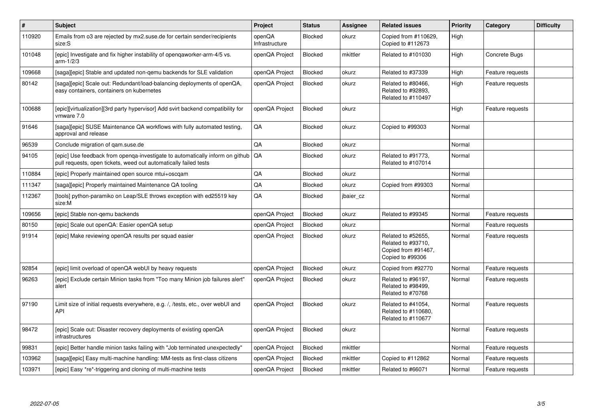| $\vert$ # | <b>Subject</b>                                                                                                                                    | Project                  | <b>Status</b>  | <b>Assignee</b> | <b>Related issues</b>                                                               | Priority | Category         | <b>Difficulty</b> |
|-----------|---------------------------------------------------------------------------------------------------------------------------------------------------|--------------------------|----------------|-----------------|-------------------------------------------------------------------------------------|----------|------------------|-------------------|
| 110920    | Emails from 03 are rejected by mx2.suse.de for certain sender/recipients<br>size:S                                                                | openQA<br>Infrastructure | <b>Blocked</b> | okurz           | Copied from #110629,<br>Copied to #112673                                           | High     |                  |                   |
| 101048    | [epic] Investigate and fix higher instability of opengaworker-arm-4/5 vs.<br>$arm-1/2/3$                                                          | openQA Project           | <b>Blocked</b> | mkittler        | Related to #101030                                                                  | High     | Concrete Bugs    |                   |
| 109668    | [saga][epic] Stable and updated non-gemu backends for SLE validation                                                                              | openQA Project           | Blocked        | okurz           | Related to #37339                                                                   | High     | Feature requests |                   |
| 80142     | [saga][epic] Scale out: Redundant/load-balancing deployments of openQA,<br>easy containers, containers on kubernetes                              | openQA Project           | <b>Blocked</b> | okurz           | Related to #80466,<br>Related to #92893,<br>Related to #110497                      | High     | Feature requests |                   |
| 100688    | [epic][virtualization][3rd party hypervisor] Add svirt backend compatibility for<br>vmware 7.0                                                    | openQA Project           | <b>Blocked</b> | okurz           |                                                                                     | High     | Feature requests |                   |
| 91646     | [saga][epic] SUSE Maintenance QA workflows with fully automated testing,<br>approval and release                                                  | QA                       | <b>Blocked</b> | okurz           | Copied to #99303                                                                    | Normal   |                  |                   |
| 96539     | Conclude migration of gam.suse.de                                                                                                                 | QA                       | <b>Blocked</b> | okurz           |                                                                                     | Normal   |                  |                   |
| 94105     | [epic] Use feedback from openqa-investigate to automatically inform on github<br>pull requests, open tickets, weed out automatically failed tests | QA                       | <b>Blocked</b> | okurz           | Related to #91773,<br>Related to #107014                                            | Normal   |                  |                   |
| 110884    | [epic] Properly maintained open source mtui+oscgam                                                                                                | QA                       | <b>Blocked</b> | okurz           |                                                                                     | Normal   |                  |                   |
| 111347    | [saga][epic] Properly maintained Maintenance QA tooling                                                                                           | QA                       | <b>Blocked</b> | okurz           | Copied from #99303                                                                  | Normal   |                  |                   |
| 112367    | [tools] python-paramiko on Leap/SLE throws exception with ed25519 key<br>size:M                                                                   | QA                       | Blocked        | jbaier_cz       |                                                                                     | Normal   |                  |                   |
| 109656    | [epic] Stable non-gemu backends                                                                                                                   | openQA Project           | <b>Blocked</b> | okurz           | Related to #99345                                                                   | Normal   | Feature requests |                   |
| 80150     | [epic] Scale out openQA: Easier openQA setup                                                                                                      | openQA Project           | <b>Blocked</b> | okurz           |                                                                                     | Normal   | Feature requests |                   |
| 91914     | [epic] Make reviewing openQA results per squad easier                                                                                             | openQA Project           | <b>Blocked</b> | okurz           | Related to #52655,<br>Related to #93710,<br>Copied from #91467,<br>Copied to #99306 | Normal   | Feature requests |                   |
| 92854     | [epic] limit overload of openQA webUI by heavy requests                                                                                           | openQA Project           | <b>Blocked</b> | okurz           | Copied from #92770                                                                  | Normal   | Feature requests |                   |
| 96263     | [epic] Exclude certain Minion tasks from "Too many Minion job failures alert"<br>alert                                                            | openQA Project           | <b>Blocked</b> | okurz           | Related to #96197.<br>Related to #98499,<br>Related to #70768                       | Normal   | Feature requests |                   |
| 97190     | Limit size of initial requests everywhere, e.g. /, /tests, etc., over webUI and<br>API                                                            | openQA Project           | <b>Blocked</b> | okurz           | Related to #41054,<br>Related to #110680,<br>Related to #110677                     | Normal   | Feature requests |                   |
| 98472     | [epic] Scale out: Disaster recovery deployments of existing openQA<br>infrastructures                                                             | openQA Project           | Blocked        | okurz           |                                                                                     | Normal   | Feature requests |                   |
| 99831     | [epic] Better handle minion tasks failing with "Job terminated unexpectedly"                                                                      | openQA Project           | <b>Blocked</b> | mkittler        |                                                                                     | Normal   | Feature requests |                   |
| 103962    | [saga][epic] Easy multi-machine handling: MM-tests as first-class citizens                                                                        | openQA Project           | <b>Blocked</b> | mkittler        | Copied to #112862                                                                   | Normal   | Feature requests |                   |
| 103971    | [epic] Easy *re*-triggering and cloning of multi-machine tests                                                                                    | openQA Project           | <b>Blocked</b> | mkittler        | Related to #66071                                                                   | Normal   | Feature requests |                   |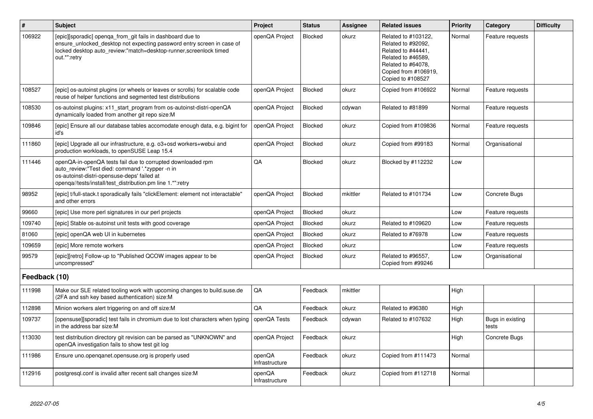| $\sharp$      | <b>Subject</b>                                                                                                                                                                                                              | Project                  | <b>Status</b>  | Assignee | <b>Related issues</b>                                                                                                                                    | <b>Priority</b> | Category                  | <b>Difficulty</b> |
|---------------|-----------------------------------------------------------------------------------------------------------------------------------------------------------------------------------------------------------------------------|--------------------------|----------------|----------|----------------------------------------------------------------------------------------------------------------------------------------------------------|-----------------|---------------------------|-------------------|
| 106922        | [epic][sporadic] openga from git fails in dashboard due to<br>ensure_unlocked_desktop not expecting password entry screen in case of<br>locked desktop auto_review:"match=desktop-runner, screenlock timed<br>out.*":retry  | openQA Project           | <b>Blocked</b> | okurz    | Related to #103122,<br>Related to #92092,<br>Related to #44441,<br>Related to #46589,<br>Related to #64078,<br>Copied from #106919,<br>Copied to #108527 | Normal          | Feature requests          |                   |
| 108527        | [epic] os-autoinst plugins (or wheels or leaves or scrolls) for scalable code<br>reuse of helper functions and segmented test distributions                                                                                 | openQA Project           | Blocked        | okurz    | Copied from #106922                                                                                                                                      | Normal          | Feature requests          |                   |
| 108530        | os-autoinst plugins: x11 start program from os-autoinst-distri-openQA<br>dynamically loaded from another git repo size:M                                                                                                    | openQA Project           | <b>Blocked</b> | cdywan   | Related to #81899                                                                                                                                        | Normal          | Feature requests          |                   |
| 109846        | [epic] Ensure all our database tables accomodate enough data, e.g. bigint for<br>id's                                                                                                                                       | openQA Project           | <b>Blocked</b> | okurz    | Copied from #109836                                                                                                                                      | Normal          | Feature requests          |                   |
| 111860        | [epic] Upgrade all our infrastructure, e.g. o3+osd workers+webui and<br>production workloads, to openSUSE Leap 15.4                                                                                                         | openQA Project           | <b>Blocked</b> | okurz    | Copied from #99183                                                                                                                                       | Normal          | Organisational            |                   |
| 111446        | openQA-in-openQA tests fail due to corrupted downloaded rpm<br>auto review:"Test died: command '.*zypper -n in<br>os-autoinst-distri-opensuse-deps' failed at<br>openqa//tests/install/test_distribution.pm line 1.*":retry | QA                       | Blocked        | okurz    | Blocked by #112232                                                                                                                                       | Low             |                           |                   |
| 98952         | [epic] t/full-stack.t sporadically fails "clickElement: element not interactable"<br>and other errors                                                                                                                       | openQA Project           | <b>Blocked</b> | mkittler | Related to #101734                                                                                                                                       | Low             | Concrete Bugs             |                   |
| 99660         | [epic] Use more perl signatures in our perl projects                                                                                                                                                                        | openQA Project           | Blocked        | okurz    |                                                                                                                                                          | Low             | Feature requests          |                   |
| 109740        | [epic] Stable os-autoinst unit tests with good coverage                                                                                                                                                                     | openQA Project           | <b>Blocked</b> | okurz    | Related to #109620                                                                                                                                       | Low             | Feature requests          |                   |
| 81060         | [epic] openQA web UI in kubernetes                                                                                                                                                                                          | openQA Project           | <b>Blocked</b> | okurz    | Related to #76978                                                                                                                                        | Low             | Feature requests          |                   |
| 109659        | [epic] More remote workers                                                                                                                                                                                                  | openQA Project           | <b>Blocked</b> | okurz    |                                                                                                                                                          | Low             | Feature requests          |                   |
| 99579         | [epic][retro] Follow-up to "Published QCOW images appear to be<br>uncompressed"                                                                                                                                             | openQA Project           | <b>Blocked</b> | okurz    | Related to #96557,<br>Copied from #99246                                                                                                                 | Low             | Organisational            |                   |
| Feedback (10) |                                                                                                                                                                                                                             |                          |                |          |                                                                                                                                                          |                 |                           |                   |
| 111998        | Make our SLE related tooling work with upcoming changes to build suse de<br>(2FA and ssh key based authentication) size:M                                                                                                   | QA                       | Feedback       | mkittler |                                                                                                                                                          | High            |                           |                   |
| 112898        | Minion workers alert triggering on and off size:M                                                                                                                                                                           | QA                       | Feedback       | okurz    | Related to #96380                                                                                                                                        | High            |                           |                   |
| 109737        | [opensuse][sporadic] test fails in chromium due to lost characters when typing<br>in the address bar size:M                                                                                                                 | openQA Tests             | Feedback       | cdywan   | Related to #107632                                                                                                                                       | High            | Bugs in existing<br>tests |                   |
| 113030        | test distribution directory git revision can be parsed as "UNKNOWN" and<br>openQA investigation fails to show test git log                                                                                                  | openQA Project           | Feedback       | okurz    |                                                                                                                                                          | High            | Concrete Bugs             |                   |
| 111986        | Ensure uno openganet opensuse org is properly used                                                                                                                                                                          | openQA<br>Infrastructure | Feedback       | okurz    | Copied from #111473                                                                                                                                      | Normal          |                           |                   |
| 112916        | postgresgl.conf is invalid after recent salt changes size:M                                                                                                                                                                 | openQA<br>Infrastructure | Feedback       | okurz    | Copied from #112718                                                                                                                                      | Normal          |                           |                   |